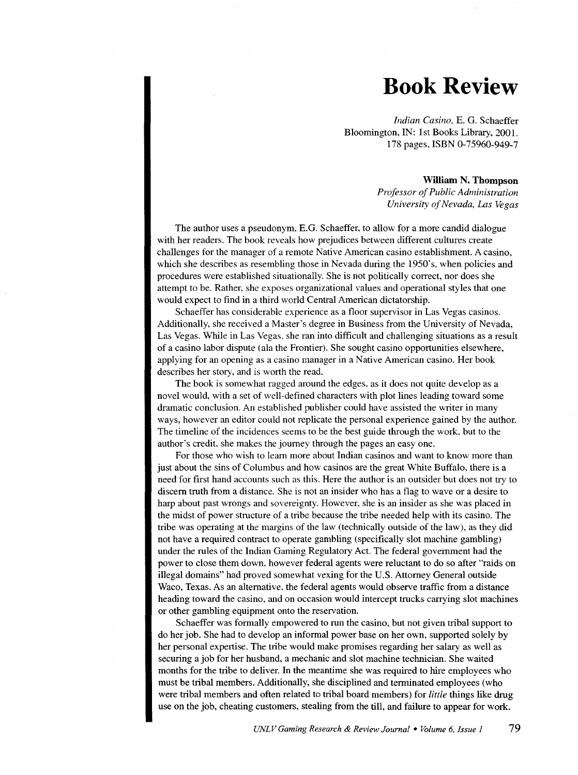## **Book Review**

*Indian Casino,* E. G. Schaeffer Bloomington, IN: 1st Books Library, 2001. 178 pages, ISBN 0-75960-949-7

## **William N. Thompson**

*Professor of Public Administration University of Nevada, Las Vegas* 

The author uses a pseudonym. E.G. Schaeffer, to allow for a more candid dialogue with her readers. The book reveals how prejudices between different cultures create challenges for the manager of a remote Native American casino establishment. A casino, which she describes as resembling those in Nevada during the 1950's, when policies and procedures were established situationally. She is not politically correct, nor does she attempt to be. Rather, she exposes organizational values and operational styles that one would expect to find in a third world Central American dictatorship.

Schaeffer has considerable experience as a floor supervisor in Las Vegas casinos. Additionally, she received a Master's degree in Business from the University of Nevada, Las Vegas. While in Las Vegas. she ran into difficult and challenging situations as a result of a casino labor dispute (ala the Frontier). She sought casino opportunities elsewhere, applying for an opening as a casino manager in a Native American casino. Her book describes her story, and is worth the read.

The book is somewhat ragged around the edges, as it does not quite develop as a novel would, with a set of well-defined characters with plot lines leading toward some dramatic conclusion. An established publisher could have assisted the writer in many ways, however an editor could not replicate the personal experience gained by the author. The timeline of the incidences seems to be the best guide through the work, but to the author's credit. she makes the journey through the pages an easy one.

For those who wish to learn more about Indian casinos and want to know more than just about the sins of Columbus and how casinos are the great White Buffalo, there is a need for first hand accounts such as this. Here the author is an outsider but does not try to discern truth from a distance. She is not an insider who has a flag to wave or a desire to harp about past wrongs and sovereignty. However, she is an insider as she was placed in the midst of power structure of a tribe because the tribe needed help with its casino. The tribe was operating at the margins of the law (technically outside of the law), as they did not have a required contract to operate gambling (specifically slot machine gambling) under the rules of the Indian Gaming Regulatory Act. The federal government had the power to close them down, however federal agents were reluctant to do so after "raids on illegal domains" had proved somewhat vexing for the U.S. Attorney General outside Waco, Texas. As an alternative. the federal agents would observe traffic from a distance heading toward the casino, and on occasion would intercept trucks carrying slot machines or other gambling equipment onto the reservation.

Schaeffer was formally empowered to run the casino, but not given tribal support to do her job. She had to develop an informal power base on her own, supported solely by her personal expertise. The tribe would make promises regarding her salary as well as securing a job for her husband, a mechanic and slot machine technician. She waited months for the tribe to deliver. In the meantime she was required to hire employees who must be tribal members. Additionally, she disciplined and terminated employees (who were tribal members and often related to tribal board members) for *little* things like drug use on the job, cheating customers, stealing from the till, and failure to appear for work.